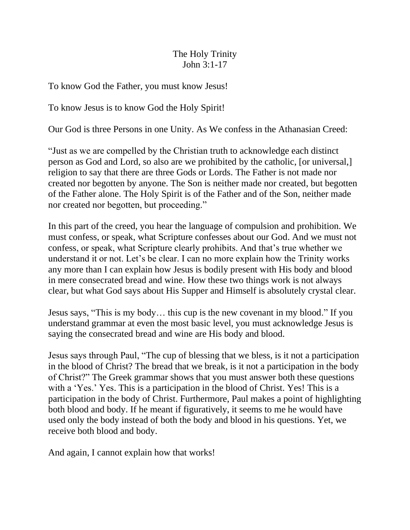## The Holy Trinity John 3:1-17

To know God the Father, you must know Jesus!

To know Jesus is to know God the Holy Spirit!

Our God is three Persons in one Unity. As We confess in the Athanasian Creed:

"Just as we are compelled by the Christian truth to acknowledge each distinct person as God and Lord, so also are we prohibited by the catholic, [or universal,] religion to say that there are three Gods or Lords. The Father is not made nor created nor begotten by anyone. The Son is neither made nor created, but begotten of the Father alone. The Holy Spirit is of the Father and of the Son, neither made nor created nor begotten, but proceeding."

In this part of the creed, you hear the language of compulsion and prohibition. We must confess, or speak, what Scripture confesses about our God. And we must not confess, or speak, what Scripture clearly prohibits. And that's true whether we understand it or not. Let's be clear. I can no more explain how the Trinity works any more than I can explain how Jesus is bodily present with His body and blood in mere consecrated bread and wine. How these two things work is not always clear, but what God says about His Supper and Himself is absolutely crystal clear.

Jesus says, "This is my body… this cup is the new covenant in my blood." If you understand grammar at even the most basic level, you must acknowledge Jesus is saying the consecrated bread and wine are His body and blood.

Jesus says through Paul, "The cup of blessing that we bless, is it not a participation in the blood of Christ? The bread that we break, is it not a participation in the body of Christ?" The Greek grammar shows that you must answer both these questions with a 'Yes.' Yes. This is a participation in the blood of Christ. Yes! This is a participation in the body of Christ. Furthermore, Paul makes a point of highlighting both blood and body. If he meant if figuratively, it seems to me he would have used only the body instead of both the body and blood in his questions. Yet, we receive both blood and body.

And again, I cannot explain how that works!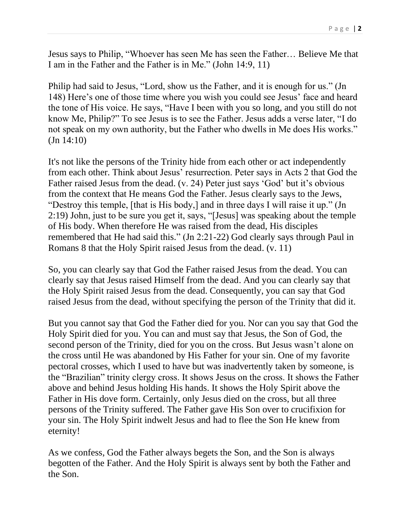Jesus says to Philip, "Whoever has seen Me has seen the Father… Believe Me that I am in the Father and the Father is in Me." (John 14:9, 11)

Philip had said to Jesus, "Lord, show us the Father, and it is enough for us." (Jn 148) Here's one of those time where you wish you could see Jesus' face and heard the tone of His voice. He says, "Have I been with you so long, and you still do not know Me, Philip?" To see Jesus is to see the Father. Jesus adds a verse later, "I do not speak on my own authority, but the Father who dwells in Me does His works." (Jn 14:10)

It's not like the persons of the Trinity hide from each other or act independently from each other. Think about Jesus' resurrection. Peter says in Acts 2 that God the Father raised Jesus from the dead. (v. 24) Peter just says 'God' but it's obvious from the context that He means God the Father. Jesus clearly says to the Jews, "Destroy this temple, [that is His body,] and in three days I will raise it up." (Jn 2:19) John, just to be sure you get it, says, "[Jesus] was speaking about the temple of His body. When therefore He was raised from the dead, His disciples remembered that He had said this." (Jn 2:21-22) God clearly says through Paul in Romans 8 that the Holy Spirit raised Jesus from the dead. (v. 11)

So, you can clearly say that God the Father raised Jesus from the dead. You can clearly say that Jesus raised Himself from the dead. And you can clearly say that the Holy Spirit raised Jesus from the dead. Consequently, you can say that God raised Jesus from the dead, without specifying the person of the Trinity that did it.

But you cannot say that God the Father died for you. Nor can you say that God the Holy Spirit died for you. You can and must say that Jesus, the Son of God, the second person of the Trinity, died for you on the cross. But Jesus wasn't alone on the cross until He was abandoned by His Father for your sin. One of my favorite pectoral crosses, which I used to have but was inadvertently taken by someone, is the "Brazilian" trinity clergy cross. It shows Jesus on the cross. It shows the Father above and behind Jesus holding His hands. It shows the Holy Spirit above the Father in His dove form. Certainly, only Jesus died on the cross, but all three persons of the Trinity suffered. The Father gave His Son over to crucifixion for your sin. The Holy Spirit indwelt Jesus and had to flee the Son He knew from eternity!

As we confess, God the Father always begets the Son, and the Son is always begotten of the Father. And the Holy Spirit is always sent by both the Father and the Son.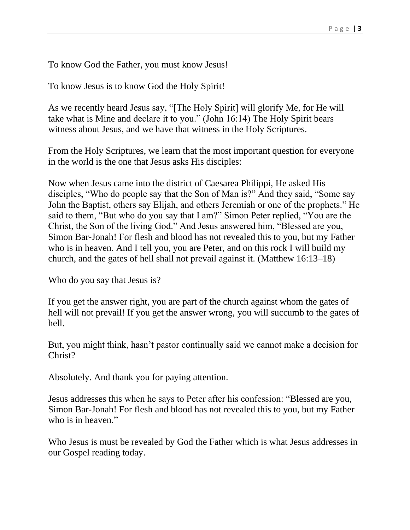To know God the Father, you must know Jesus!

To know Jesus is to know God the Holy Spirit!

As we recently heard Jesus say, "[The Holy Spirit] will glorify Me, for He will take what is Mine and declare it to you." (John 16:14) The Holy Spirit bears witness about Jesus, and we have that witness in the Holy Scriptures.

From the Holy Scriptures, we learn that the most important question for everyone in the world is the one that Jesus asks His disciples:

Now when Jesus came into the district of Caesarea Philippi, He asked His disciples, "Who do people say that the Son of Man is?" And they said, "Some say John the Baptist, others say Elijah, and others Jeremiah or one of the prophets." He said to them, "But who do you say that I am?" Simon Peter replied, "You are the Christ, the Son of the living God." And Jesus answered him, "Blessed are you, Simon Bar-Jonah! For flesh and blood has not revealed this to you, but my Father who is in heaven. And I tell you, you are Peter, and on this rock I will build my church, and the gates of hell shall not prevail against it. (Matthew 16:13–18)

Who do you say that Jesus is?

If you get the answer right, you are part of the church against whom the gates of hell will not prevail! If you get the answer wrong, you will succumb to the gates of hell.

But, you might think, hasn't pastor continually said we cannot make a decision for Christ?

Absolutely. And thank you for paying attention.

Jesus addresses this when he says to Peter after his confession: "Blessed are you, Simon Bar-Jonah! For flesh and blood has not revealed this to you, but my Father who is in heaven."

Who Jesus is must be revealed by God the Father which is what Jesus addresses in our Gospel reading today.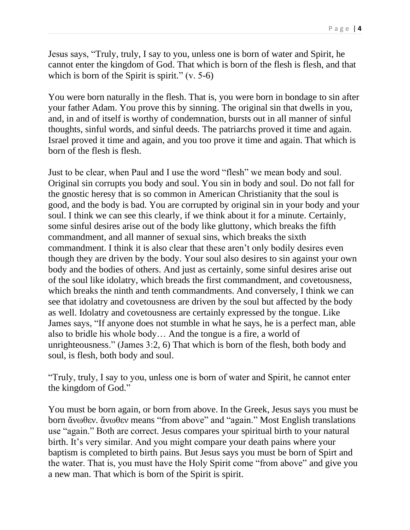Jesus says, "Truly, truly, I say to you, unless one is born of water and Spirit, he cannot enter the kingdom of God. That which is born of the flesh is flesh, and that which is born of the Spirit is spirit."  $(v. 5-6)$ 

You were born naturally in the flesh. That is, you were born in bondage to sin after your father Adam. You prove this by sinning. The original sin that dwells in you, and, in and of itself is worthy of condemnation, bursts out in all manner of sinful thoughts, sinful words, and sinful deeds. The patriarchs proved it time and again. Israel proved it time and again, and you too prove it time and again. That which is born of the flesh is flesh.

Just to be clear, when Paul and I use the word "flesh" we mean body and soul. Original sin corrupts you body and soul. You sin in body and soul. Do not fall for the gnostic heresy that is so common in American Christianity that the soul is good, and the body is bad. You are corrupted by original sin in your body and your soul. I think we can see this clearly, if we think about it for a minute. Certainly, some sinful desires arise out of the body like gluttony, which breaks the fifth commandment, and all manner of sexual sins, which breaks the sixth commandment. I think it is also clear that these aren't only bodily desires even though they are driven by the body. Your soul also desires to sin against your own body and the bodies of others. And just as certainly, some sinful desires arise out of the soul like idolatry, which breads the first commandment, and covetousness, which breaks the ninth and tenth commandments. And conversely, I think we can see that idolatry and covetousness are driven by the soul but affected by the body as well. Idolatry and covetousness are certainly expressed by the tongue. Like James says, "If anyone does not stumble in what he says, he is a perfect man, able also to bridle his whole body… And the tongue is a fire, a world of unrighteousness." (James 3:2, 6) That which is born of the flesh, both body and soul, is flesh, both body and soul.

"Truly, truly, I say to you, unless one is born of water and Spirit, he cannot enter the kingdom of God."

You must be born again, or born from above. In the Greek, Jesus says you must be born ἄνωθεν. ἄνωθεν means "from above" and "again." Most English translations use "again." Both are correct. Jesus compares your spiritual birth to your natural birth. It's very similar. And you might compare your death pains where your baptism is completed to birth pains. But Jesus says you must be born of Spirt and the water. That is, you must have the Holy Spirit come "from above" and give you a new man. That which is born of the Spirit is spirit.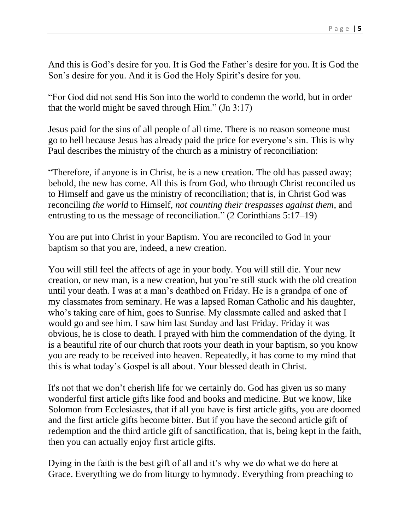And this is God's desire for you. It is God the Father's desire for you. It is God the Son's desire for you. And it is God the Holy Spirit's desire for you.

"For God did not send His Son into the world to condemn the world, but in order that the world might be saved through Him." (Jn 3:17)

Jesus paid for the sins of all people of all time. There is no reason someone must go to hell because Jesus has already paid the price for everyone's sin. This is why Paul describes the ministry of the church as a ministry of reconciliation:

"Therefore, if anyone is in Christ, he is a new creation. The old has passed away; behold, the new has come. All this is from God, who through Christ reconciled us to Himself and gave us the ministry of reconciliation; that is, in Christ God was reconciling *the world* to Himself, *not counting their trespasses against them*, and entrusting to us the message of reconciliation." (2 Corinthians 5:17–19)

You are put into Christ in your Baptism. You are reconciled to God in your baptism so that you are, indeed, a new creation.

You will still feel the affects of age in your body. You will still die. Your new creation, or new man, is a new creation, but you're still stuck with the old creation until your death. I was at a man's deathbed on Friday. He is a grandpa of one of my classmates from seminary. He was a lapsed Roman Catholic and his daughter, who's taking care of him, goes to Sunrise. My classmate called and asked that I would go and see him. I saw him last Sunday and last Friday. Friday it was obvious, he is close to death. I prayed with him the commendation of the dying. It is a beautiful rite of our church that roots your death in your baptism, so you know you are ready to be received into heaven. Repeatedly, it has come to my mind that this is what today's Gospel is all about. Your blessed death in Christ.

It's not that we don't cherish life for we certainly do. God has given us so many wonderful first article gifts like food and books and medicine. But we know, like Solomon from Ecclesiastes, that if all you have is first article gifts, you are doomed and the first article gifts become bitter. But if you have the second article gift of redemption and the third article gift of sanctification, that is, being kept in the faith, then you can actually enjoy first article gifts.

Dying in the faith is the best gift of all and it's why we do what we do here at Grace. Everything we do from liturgy to hymnody. Everything from preaching to